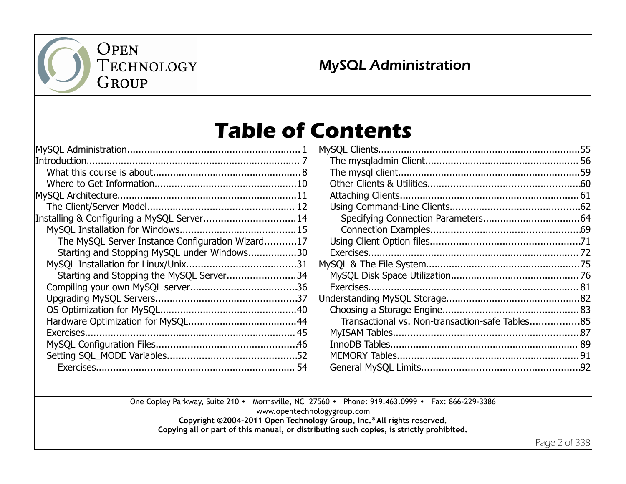

### MySQL Administration

# **Table of Contents**

| Installing & Configuring a MySQL Server 14       |  |
|--------------------------------------------------|--|
|                                                  |  |
| The MySQL Server Instance Configuration Wizard17 |  |
| Starting and Stopping MySQL under Windows30      |  |
|                                                  |  |
| Starting and Stopping the MySQL Server34         |  |
|                                                  |  |
|                                                  |  |
|                                                  |  |
|                                                  |  |
|                                                  |  |
|                                                  |  |
|                                                  |  |
|                                                  |  |

| Transactional vs. Non-transaction-safe Tables85 |  |
|-------------------------------------------------|--|
|                                                 |  |
|                                                 |  |
|                                                 |  |
|                                                 |  |

One Copley Parkway, Suite 210 • Morrisville, NC 27560 • Phone: 919.463.0999 • Fax: 866-229-3386

www.opentechnologygroup.com

**Copyright ©2004-2011 Open Technology Group, Inc.® All rights reserved.**

**Copying all or part of this manual, or distributing such copies, is strictly prohibited.**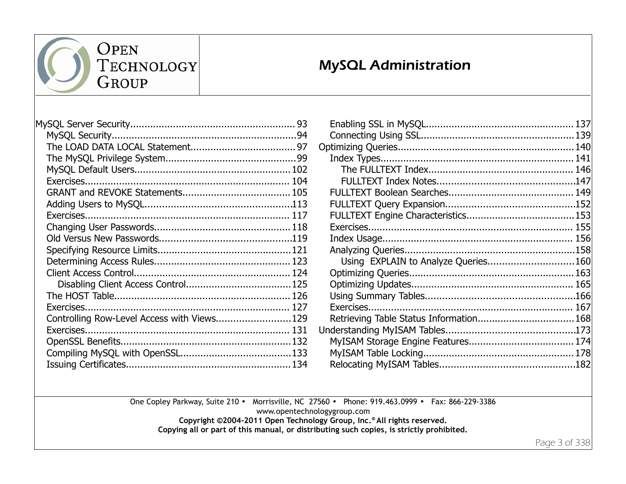

### MySQL Administration

| Controlling Row-Level Access with Views129 |  |
|--------------------------------------------|--|
|                                            |  |
|                                            |  |
|                                            |  |
|                                            |  |
|                                            |  |

| Using EXPLAIN to Analyze Queries 160    |  |
|-----------------------------------------|--|
|                                         |  |
|                                         |  |
|                                         |  |
|                                         |  |
| Retrieving Table Status Information 168 |  |
|                                         |  |
|                                         |  |
|                                         |  |
|                                         |  |
|                                         |  |

One Copley Parkway, Suite 210 • Morrisville, NC 27560 • Phone: 919.463.0999 • Fax: 866-229-3386

www.opentechnologygroup.com

**Copyright ©2004-2011 Open Technology Group, Inc.® All rights reserved.**

**Copying all or part of this manual, or distributing such copies, is strictly prohibited.**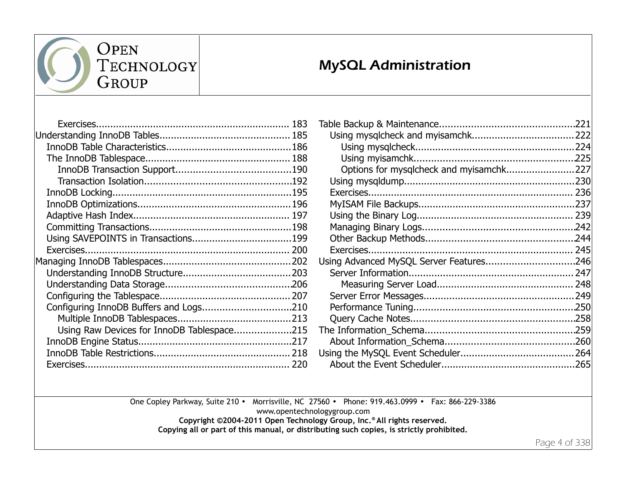

### MySQL Administration

| Using Raw Devices for InnoDB Tablespace215 |  |
|--------------------------------------------|--|
|                                            |  |
|                                            |  |
|                                            |  |
|                                            |  |

| Options for mysqlcheck and myisamchk227 |  |
|-----------------------------------------|--|
|                                         |  |
|                                         |  |
|                                         |  |
|                                         |  |
|                                         |  |
|                                         |  |
|                                         |  |
| Using Advanced MySQL Server Features246 |  |
|                                         |  |
|                                         |  |
|                                         |  |
|                                         |  |
|                                         |  |
|                                         |  |
|                                         |  |
|                                         |  |
|                                         |  |
|                                         |  |

One Copley Parkway, Suite 210 • Morrisville, NC 27560 • Phone: 919.463.0999 • Fax: 866-229-3386

www.opentechnologygroup.com

**Copyright ©2004-2011 Open Technology Group, Inc.® All rights reserved.**

**Copying all or part of this manual, or distributing such copies, is strictly prohibited.**